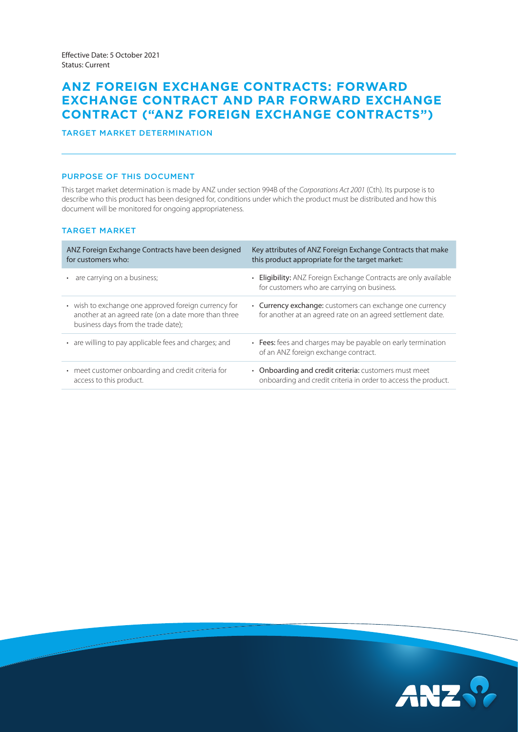# **ANZ FOREIGN EXCHANGE CONTRACTS: FORWARD EXCHANGE CONTRACT AND PAR FORWARD EXCHANGE CONTRACT ("ANZ FOREIGN EXCHANGE CONTRACTS")**

# TARGET MARKET DETERMINATION

### PURPOSE OF THIS DOCUMENT

This target market determination is made by ANZ under section 994B of the *Corporations Act 2001* (Cth). Its purpose is to describe who this product has been designed for, conditions under which the product must be distributed and how this document will be monitored for ongoing appropriateness.

# TARGET MARKET

| ANZ Foreign Exchange Contracts have been designed<br>for customers who:                                                                             | Key attributes of ANZ Foreign Exchange Contracts that make<br>this product appropriate for the target market:           |
|-----------------------------------------------------------------------------------------------------------------------------------------------------|-------------------------------------------------------------------------------------------------------------------------|
| • are carrying on a business;                                                                                                                       | • Eligibility: ANZ Foreign Exchange Contracts are only available<br>for customers who are carrying on business.         |
| • wish to exchange one approved foreign currency for<br>another at an agreed rate (on a date more than three<br>business days from the trade date); | • Currency exchange: customers can exchange one currency<br>for another at an agreed rate on an agreed settlement date. |
| • are willing to pay applicable fees and charges; and                                                                                               | • Fees: fees and charges may be payable on early termination<br>of an ANZ foreign exchange contract.                    |
| • meet customer onboarding and credit criteria for<br>access to this product.                                                                       | • Onboarding and credit criteria: customers must meet<br>onboarding and credit criteria in order to access the product. |

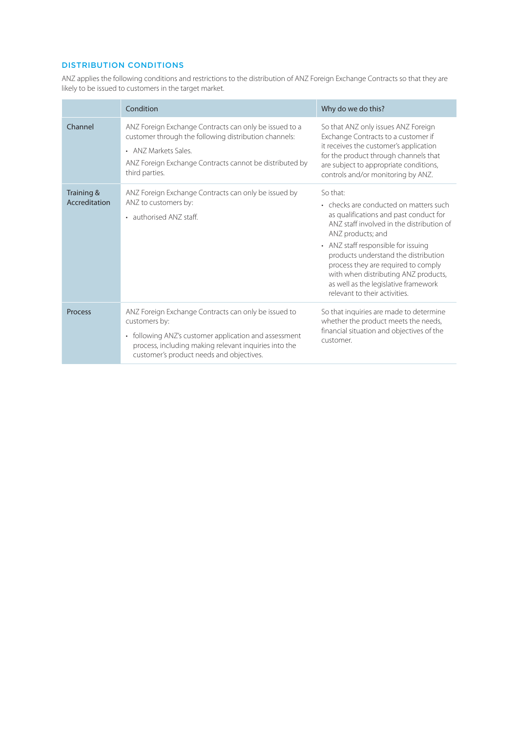# DISTRIBUTION CONDITIONS

ANZ applies the following conditions and restrictions to the distribution of ANZ Foreign Exchange Contracts so that they are likely to be issued to customers in the target market.

|                             | Condition                                                                                                                                                                                                                           | Why do we do this?                                                                                                                                                                                                                                                                                                                                                                                    |
|-----------------------------|-------------------------------------------------------------------------------------------------------------------------------------------------------------------------------------------------------------------------------------|-------------------------------------------------------------------------------------------------------------------------------------------------------------------------------------------------------------------------------------------------------------------------------------------------------------------------------------------------------------------------------------------------------|
| Channel                     | ANZ Foreign Exchange Contracts can only be issued to a<br>customer through the following distribution channels:<br>• ANZ Markets Sales<br>ANZ Foreign Exchange Contracts cannot be distributed by<br>third parties.                 | So that ANZ only issues ANZ Foreign<br>Exchange Contracts to a customer if<br>it receives the customer's application<br>for the product through channels that<br>are subject to appropriate conditions,<br>controls and/or monitoring by ANZ.                                                                                                                                                         |
| Training &<br>Accreditation | ANZ Foreign Exchange Contracts can only be issued by<br>ANZ to customers by:<br>• authorised ANZ staff.                                                                                                                             | So that:<br>• checks are conducted on matters such<br>as qualifications and past conduct for<br>ANZ staff involved in the distribution of<br>ANZ products; and<br>• ANZ staff responsible for issuing<br>products understand the distribution<br>process they are required to comply<br>with when distributing ANZ products,<br>as well as the legislative framework<br>relevant to their activities. |
| Process                     | ANZ Foreign Exchange Contracts can only be issued to<br>customers by:<br>• following ANZ's customer application and assessment<br>process, including making relevant inquiries into the<br>customer's product needs and objectives. | So that inquiries are made to determine<br>whether the product meets the needs,<br>financial situation and objectives of the<br>customer.                                                                                                                                                                                                                                                             |